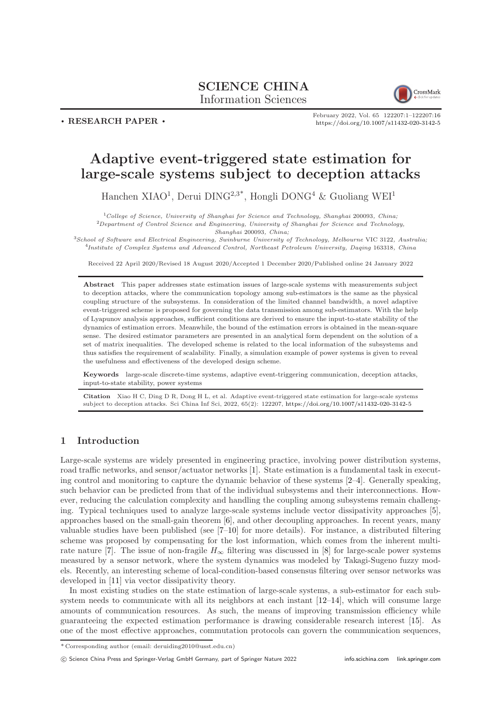## SCIENCE CHINA Information Sciences



. RESEARCH PAPER .

February 2022, Vol. 65 122207:1–122207[:16](#page-15-0) <https://doi.org/10.1007/s11432-020-3142-5>

# Adaptive event-triggered state estimation for large-scale systems subject to deception attacks

Hanchen XIAO<sup>1</sup>, Derui DING<sup>2,3\*</sup>, Hongli DONG<sup>4</sup> & Guoliang WEI<sup>1</sup>

 $1$ College of Science, University of Shanghai for Science and Technology, Shanghai 200093, China;  ${}^{2}$ Department of Control Science and Engineering, University of Shanghai for Science and Technology, Shanghai 200093, China;

<sup>3</sup>School of Software and Electrical Engineering, Swinburne University of Technology, Melbourne VIC 3122, Australia; 4 Institute of Complex Systems and Advanced Control, Northeast Petroleum University, Daqing 163318, China

Received 22 April 2020/Revised 18 August 2020/Accepted 1 December 2020/Published online 24 January 2022

Abstract This paper addresses state estimation issues of large-scale systems with measurements subject to deception attacks, where the communication topology among sub-estimators is the same as the physical coupling structure of the subsystems. In consideration of the limited channel bandwidth, a novel adaptive event-triggered scheme is proposed for governing the data transmission among sub-estimators. With the help of Lyapunov analysis approaches, sufficient conditions are derived to ensure the input-to-state stability of the dynamics of estimation errors. Meanwhile, the bound of the estimation errors is obtained in the mean-square sense. The desired estimator parameters are presented in an analytical form dependent on the solution of a set of matrix inequalities. The developed scheme is related to the local information of the subsystems and thus satisfies the requirement of scalability. Finally, a simulation example of power systems is given to reveal the usefulness and effectiveness of the developed design scheme.

Keywords large-scale discrete-time systems, adaptive event-triggering communication, deception attacks, input-to-state stability, power systems

Citation Xiao H C, Ding D R, Dong H L, et al. Adaptive event-triggered state estimation for large-scale systems subject to deception attacks. Sci China Inf Sci, 2022, 65(2): 122207, <https://doi.org/10.1007/s11432-020-3142-5>

## 1 Introduction

Large-scale systems are widely presented in engineering practice, involving power distribution systems, road traffic networks, and sensor/actuator networks [\[1\]](#page-14-0). State estimation is a fundamental task in executing control and monitoring to capture the dynamic behavior of these systems [\[2–](#page-14-1)[4\]](#page-14-2). Generally speaking, such behavior can be predicted from that of the individual subsystems and their interconnections. However, reducing the calculation complexity and handling the coupling among subsystems remain challenging. Typical techniques used to analyze large-scale systems include vector dissipativity approaches [\[5\]](#page-14-3), approaches based on the small-gain theorem [\[6\]](#page-14-4), and other decoupling approaches. In recent years, many valuable studies have been published (see [\[7–](#page-14-5)[10\]](#page-14-6) for more details). For instance, a distributed filtering scheme was proposed by compensating for the lost information, which comes from the inherent multi-rate nature [\[7\]](#page-14-5). The issue of non-fragile  $H_{\infty}$  filtering was discussed in [\[8\]](#page-14-7) for large-scale power systems measured by a sensor network, where the system dynamics was modeled by Takagi-Sugeno fuzzy models. Recently, an interesting scheme of local-condition-based consensus filtering over sensor networks was developed in [\[11\]](#page-14-8) via vector dissipativity theory.

In most existing studies on the state estimation of large-scale systems, a sub-estimator for each subsystem needs to communicate with all its neighbors at each instant  $[12-14]$  $[12-14]$ , which will consume large amounts of communication resources. As such, the means of improving transmission efficiency while guaranteeing the expected estimation performance is drawing considerable research interest [\[15\]](#page-14-11). As one of the most effective approaches, commutation protocols can govern the communication sequences,

c Science China Press and Springer-Verlag GmbH Germany, part of Springer Nature 2022 <info.scichina.com><link.springer.com>

<sup>\*</sup> Corresponding author (email: deruiding2010@usst.edu.cn)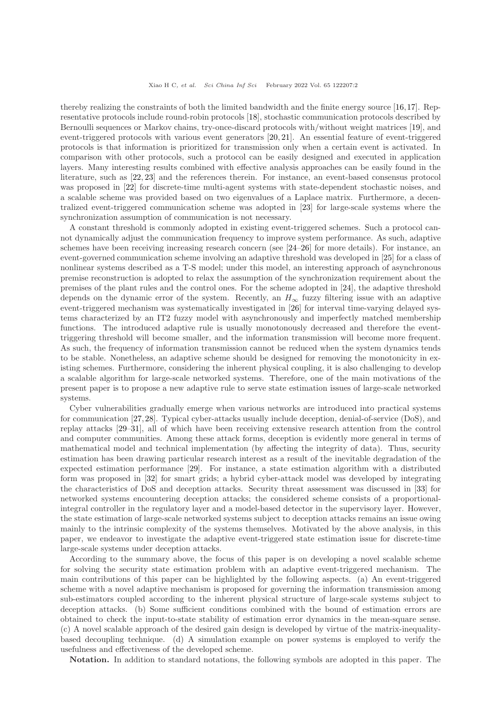thereby realizing the constraints of both the limited bandwidth and the finite energy source [\[16,](#page-14-12)[17\]](#page-14-13). Representative protocols include round-robin protocols [\[18\]](#page-14-14), stochastic communication protocols described by Bernoulli sequences or Markov chains, try-once-discard protocols with/without weight matrices [\[19\]](#page-14-15), and event-triggered protocols with various event generators [\[20,](#page-14-16) [21\]](#page-14-17). An essential feature of event-triggered protocols is that information is prioritized for transmission only when a certain event is activated. In comparison with other protocols, such a protocol can be easily designed and executed in application layers. Many interesting results combined with effective analysis approaches can be easily found in the literature, such as [\[22,](#page-14-18) [23\]](#page-14-19) and the references therein. For instance, an event-based consensus protocol was proposed in [\[22\]](#page-14-18) for discrete-time multi-agent systems with state-dependent stochastic noises, and a scalable scheme was provided based on two eigenvalues of a Laplace matrix. Furthermore, a decentralized event-triggered communication scheme was adopted in [\[23\]](#page-14-19) for large-scale systems where the synchronization assumption of communication is not necessary.

A constant threshold is commonly adopted in existing event-triggered schemes. Such a protocol cannot dynamically adjust the communication frequency to improve system performance. As such, adaptive schemes have been receiving increasing research concern (see [\[24–](#page-14-20)[26\]](#page-15-1) for more details). For instance, an event-governed communication scheme involving an adaptive threshold was developed in [\[25\]](#page-14-21) for a class of nonlinear systems described as a T-S model; under this model, an interesting approach of asynchronous premise reconstruction is adopted to relax the assumption of the synchronization requirement about the premises of the plant rules and the control ones. For the scheme adopted in [\[24\]](#page-14-20), the adaptive threshold depends on the dynamic error of the system. Recently, an  $H_{\infty}$  fuzzy filtering issue with an adaptive event-triggered mechanism was systematically investigated in [\[26\]](#page-15-1) for interval time-varying delayed systems characterized by an IT2 fuzzy model with asynchronously and imperfectly matched membership functions. The introduced adaptive rule is usually monotonously decreased and therefore the eventtriggering threshold will become smaller, and the information transmission will become more frequent. As such, the frequency of information transmission cannot be reduced when the system dynamics tends to be stable. Nonetheless, an adaptive scheme should be designed for removing the monotonicity in existing schemes. Furthermore, considering the inherent physical coupling, it is also challenging to develop a scalable algorithm for large-scale networked systems. Therefore, one of the main motivations of the present paper is to propose a new adaptive rule to serve state estimation issues of large-scale networked systems.

Cyber vulnerabilities gradually emerge when various networks are introduced into practical systems for communication [\[27,](#page-15-2)[28\]](#page-15-3). Typical cyber-attacks usually include deception, denial-of-service (DoS), and replay attacks [\[29](#page-15-4)[–31\]](#page-15-5), all of which have been receiving extensive research attention from the control and computer communities. Among these attack forms, deception is evidently more general in terms of mathematical model and technical implementation (by affecting the integrity of data). Thus, security estimation has been drawing particular research interest as a result of the inevitable degradation of the expected estimation performance [\[29\]](#page-15-4). For instance, a state estimation algorithm with a distributed form was proposed in [\[32\]](#page-15-6) for smart grids; a hybrid cyber-attack model was developed by integrating the characteristics of DoS and deception attacks. Security threat assessment was discussed in [\[33\]](#page-15-7) for networked systems encountering deception attacks; the considered scheme consists of a proportionalintegral controller in the regulatory layer and a model-based detector in the supervisory layer. However, the state estimation of large-scale networked systems subject to deception attacks remains an issue owing mainly to the intrinsic complexity of the systems themselves. Motivated by the above analysis, in this paper, we endeavor to investigate the adaptive event-triggered state estimation issue for discrete-time large-scale systems under deception attacks.

According to the summary above, the focus of this paper is on developing a novel scalable scheme for solving the security state estimation problem with an adaptive event-triggered mechanism. The main contributions of this paper can be highlighted by the following aspects. (a) An event-triggered scheme with a novel adaptive mechanism is proposed for governing the information transmission among sub-estimators coupled according to the inherent physical structure of large-scale systems subject to deception attacks. (b) Some sufficient conditions combined with the bound of estimation errors are obtained to check the input-to-state stability of estimation error dynamics in the mean-square sense. (c) A novel scalable approach of the desired gain design is developed by virtue of the matrix-inequalitybased decoupling technique. (d) A simulation example on power systems is employed to verify the usefulness and effectiveness of the developed scheme.

Notation. In addition to standard notations, the following symbols are adopted in this paper. The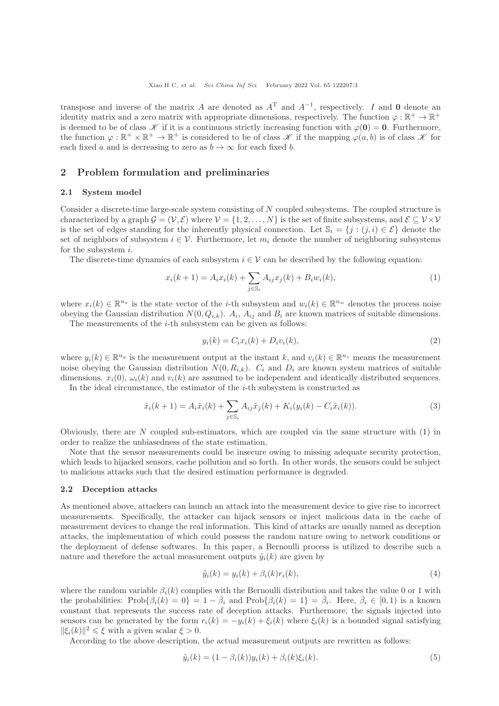transpose and inverse of the matrix A are denoted as  $A<sup>T</sup>$  and  $A<sup>-1</sup>$ , respectively. I and 0 denote an identity matrix and a zero matrix with appropriate dimensions, respectively. The function  $\varphi : \mathbb{R}^+ \to \mathbb{R}^+$ is deemed to be of class  $\mathscr K$  if it is a continuous strictly increasing function with  $\varphi(0) = 0$ . Furthermore, the function  $\varphi : \mathbb{R}^+ \times \mathbb{R}^+ \to \mathbb{R}^+$  is considered to be of class  $\mathscr K$  if the mapping  $\varphi(a, b)$  is of class  $\mathscr K$  for each fixed a and is decreasing to zero as  $b \to \infty$  for each fixed b.

## 2 Problem formulation and preliminaries

#### 2.1 System model

Consider a discrete-time large-scale system consisting of N coupled subsystems. The coupled structure is characterized by a graph  $\mathcal{G} = (\mathcal{V}, \mathcal{E})$  where  $\mathcal{V} = \{1, 2, ..., N\}$  is the set of finite subsystems, and  $\mathcal{E} \subseteq \mathcal{V} \times \mathcal{V}$ is the set of edges standing for the inherently physical connection. Let  $\mathbb{S}_i = \{j : (j,i) \in \mathcal{E}\}\$  denote the set of neighbors of subsystem  $i \in \mathcal{V}$ . Furthermore, let  $m_i$  denote the number of neighboring subsystems for the subsystem i.

The discrete-time dynamics of each subsystem  $i \in V$  can be described by the following equation:

<span id="page-2-0"></span>
$$
x_i(k+1) = A_i x_i(k) + \sum_{j \in \mathbb{S}_i} A_{ij} x_j(k) + B_i w_i(k), \tag{1}
$$

where  $x_i(k) \in \mathbb{R}^{n_x}$  is the state vector of the *i*-th subsystem and  $w_i(k) \in \mathbb{R}^{n_w}$  denotes the process noise obeying the Gaussian distribution  $N(0, Q_{i,k})$ .  $A_i$ ,  $A_{ij}$  and  $B_i$  are known matrices of suitable dimensions.

The measurements of the  $i$ -th subsystem can be given as follows:

$$
y_i(k) = C_i x_i(k) + D_i v_i(k),
$$
\n(2)

where  $y_i(k) \in \mathbb{R}^{n_y}$  is the measurement output at the instant k, and  $v_i(k) \in \mathbb{R}^{n_v}$  means the measurement noise obeying the Gaussian distribution  $N(0, R_{i,k})$ .  $C_i$  and  $D_i$  are known system matrices of suitable dimensions.  $x_i(0), \omega_i(k)$  and  $v_i(k)$  are assumed to be independent and identically distributed sequences.

In the ideal circumstance, the estimator of the  $i$ -th subsystem is constructed as

$$
\hat{x}_i(k+1) = A_i \hat{x}_i(k) + \sum_{j \in \mathbb{S}_i} A_{ij} \hat{x}_j(k) + K_i(y_i(k) - C_i \hat{x}_i(k)).
$$
\n(3)

Obviously, there are  $N$  coupled sub-estimators, which are coupled via the same structure with  $(1)$  in order to realize the unbiasedness of the state estimation.

Note that the sensor measurements could be insecure owing to missing adequate security protection, which leads to hijacked sensors, cache pollution and so forth. In other words, the sensors could be subject to malicious attacks such that the desired estimation performance is degraded.

## 2.2 Deception attacks

As mentioned above, attackers can launch an attack into the measurement device to give rise to incorrect measurements. Specifically, the attacker can hijack sensors or inject malicious data in the cache of measurement devices to change the real information. This kind of attacks are usually named as deception attacks, the implementation of which could possess the random nature owing to network conditions or the deployment of defense softwares. In this paper, a Bernoulli process is utilized to describe such a nature and therefore the actual measurement outputs  $\tilde{y}_i(k)$  are given by

<span id="page-2-1"></span>
$$
\tilde{y}_i(k) = y_i(k) + \beta_i(k)r_i(k),\tag{4}
$$

where the random variable  $\beta_i(k)$  complies with the Bernoulli distribution and takes the value 0 or 1 with the probabilities:  $\text{Prob}\{\beta_i(k) = 0\} = 1 - \bar{\beta}_i$  and  $\text{Prob}\{\beta_i(k) = 1\} = \bar{\beta}_i$ . Here,  $\bar{\beta}_i \in [0, 1)$  is a known constant that represents the success rate of deception attacks. Furthermore, the signals injected into sensors can be generated by the form  $r_i(k) = -y_i(k) + \xi_i(k)$  where  $\xi_i(k)$  is a bounded signal satisfying  $\|\xi_i(k)\|^2 \leq \xi$  with a given scalar  $\xi > 0$ .

According to the above description, the actual measurement outputs are rewritten as follows:

$$
\tilde{y}_i(k) = (1 - \beta_i(k))y_i(k) + \beta_i(k)\xi_i(k). \tag{5}
$$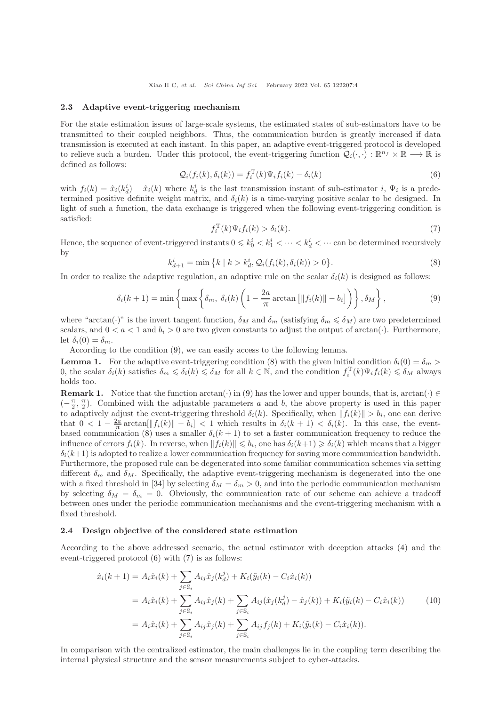#### 2.3 Adaptive event-triggering mechanism

For the state estimation issues of large-scale systems, the estimated states of sub-estimators have to be transmitted to their coupled neighbors. Thus, the communication burden is greatly increased if data transmission is executed at each instant. In this paper, an adaptive event-triggered protocol is developed to relieve such a burden. Under this protocol, the event-triggering function  $\mathcal{Q}_i(\cdot,\cdot): \mathbb{R}^{n_f} \times \mathbb{R} \longrightarrow \mathbb{R}$  is defined as follows:

<span id="page-3-2"></span>
$$
\mathcal{Q}_i(f_i(k), \delta_i(k)) = f_i^{\mathrm{T}}(k)\Psi_i f_i(k) - \delta_i(k)
$$
\n(6)

with  $f_i(k) = \hat{x}_i(k_d^i) - \hat{x}_i(k)$  where  $k_d^i$  is the last transmission instant of sub-estimator i,  $\Psi_i$  is a predetermined positive definite weight matrix, and  $\delta_i(k)$  is a time-varying positive scalar to be designed. In light of such a function, the data exchange is triggered when the following event-triggering condition is satisfied:

<span id="page-3-3"></span>
$$
f_i^{\mathrm{T}}(k)\Psi_i f_i(k) > \delta_i(k). \tag{7}
$$

Hence, the sequence of event-triggered instants  $0 \leq k_0^i < k_1^i < \cdots < k_d^i < \cdots$  can be determined recursively by

<span id="page-3-1"></span>
$$
k_{d+1}^{i} = \min\left\{k \mid k > k_d^i, \mathcal{Q}_i(f_i(k), \delta_i(k)) > 0\right\}.
$$
\n(8)

In order to realize the adaptive regulation, an adaptive rule on the scalar  $\delta_i(k)$  is designed as follows:

<span id="page-3-0"></span>
$$
\delta_i(k+1) = \min\left\{\max\left\{\delta_m, \ \delta_i(k) \left(1 - \frac{2a}{\pi} \arctan\left[\|f_i(k)\| - b_i\right]\right)\right\}, \delta_M\right\},\tag{9}
$$

where "arctan(·)" is the invert tangent function,  $\delta_M$  and  $\delta_m$  (satisfying  $\delta_m \leq \delta_M$ ) are two predetermined scalars, and  $0 < a < 1$  and  $b_i > 0$  are two given constants to adjust the output of arctan( $\cdot$ ). Furthermore, let  $\delta_i(0) = \delta_m$ .

According to the condition [\(9\)](#page-3-0), we can easily access to the following lemma.

<span id="page-3-5"></span>**Lemma 1.** For the adaptive event-triggering condition [\(8\)](#page-3-1) with the given initial condition  $\delta_i(0) = \delta_m >$ 0, the scalar  $\delta_i(k)$  satisfies  $\delta_m \leq \delta_i(k) \leq \delta_M$  for all  $k \in \mathbb{N}$ , and the condition  $f_i^{\mathrm{T}}(k)\Psi_i f_i(k) \leq \delta_M$  always holds too.

**Remark 1.** Notice that the function  $arctan(\cdot)$  in [\(9\)](#page-3-0) has the lower and upper bounds, that is,  $arctan(\cdot) \in$  $\left(-\frac{\pi}{2}\right)$  $\frac{\pi}{2}, \frac{\pi}{2}$  $\frac{\pi}{2}$ ). Combined with the adjustable parameters a and b, the above property is used in this paper to adaptively adjust the event-triggering threshold  $\delta_i(k)$ . Specifically, when  $||f_i(k)|| > b_i$ , one can derive that  $0 < 1 - \frac{2a}{\pi} \arctan[\|f_i(k)\| - b_i] < 1$  which results in  $\delta_i(k+1) < \delta_i(k)$ . In this case, the event-based communication [\(8\)](#page-3-1) uses a smaller  $\delta_i(k+1)$  to set a faster communication frequency to reduce the influence of errors  $f_i(k)$ . In reverse, when  $||f_i(k)|| \leq b_i$ , one has  $\delta_i(k+1) \geq \delta_i(k)$  which means that a bigger  $\delta_i(k+1)$  is adopted to realize a lower communication frequency for saving more communication bandwidth. Furthermore, the proposed rule can be degenerated into some familiar communication schemes via setting different  $\delta_m$  and  $\delta_M$ . Specifically, the adaptive event-triggering mechanism is degenerated into the one with a fixed threshold in [\[34\]](#page-15-8) by selecting  $\delta_M = \delta_m > 0$ , and into the periodic communication mechanism by selecting  $\delta_M = \delta_m = 0$ . Obviously, the communication rate of our scheme can achieve a tradeoff between ones under the periodic communication mechanisms and the event-triggering mechanism with a fixed threshold.

### 2.4 Design objective of the considered state estimation

According to the above addressed scenario, the actual estimator with deception attacks [\(4\)](#page-2-1) and the event-triggered protocol [\(6\)](#page-3-2) with [\(7\)](#page-3-3) is as follows:

<span id="page-3-4"></span>
$$
\hat{x}_{i}(k+1) = A_{i}\hat{x}_{i}(k) + \sum_{j \in \mathbb{S}_{i}} A_{ij}\hat{x}_{j}(k_{d}^{j}) + K_{i}(\tilde{y}_{i}(k) - C_{i}\hat{x}_{i}(k))
$$
\n
$$
= A_{i}\hat{x}_{i}(k) + \sum_{j \in \mathbb{S}_{i}} A_{ij}\hat{x}_{j}(k) + \sum_{j \in \mathbb{S}_{i}} A_{ij}(\hat{x}_{j}(k_{d}^{j}) - \hat{x}_{j}(k)) + K_{i}(\tilde{y}_{i}(k) - C_{i}\hat{x}_{i}(k)) \qquad (10)
$$
\n
$$
= A_{i}\hat{x}_{i}(k) + \sum_{j \in \mathbb{S}_{i}} A_{ij}\hat{x}_{j}(k) + \sum_{j \in \mathbb{S}_{i}} A_{ij}f_{j}(k) + K_{i}(\tilde{y}_{i}(k) - C_{i}\hat{x}_{i}(k)).
$$

In comparison with the centralized estimator, the main challenges lie in the coupling term describing the internal physical structure and the sensor measurements subject to cyber-attacks.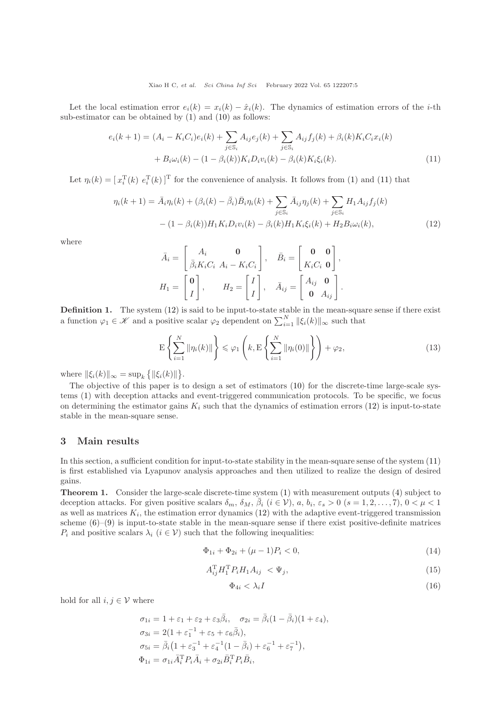Let the local estimation error  $e_i(k) = x_i(k) - \hat{x}_i(k)$ . The dynamics of estimation errors of the *i*-th sub-estimator can be obtained by [\(1\)](#page-2-0) and [\(10\)](#page-3-4) as follows:

$$
e_i(k+1) = (A_i - K_i C_i)e_i(k) + \sum_{j \in S_i} A_{ij}e_j(k) + \sum_{j \in S_i} A_{ij}f_j(k) + \beta_i(k)K_i C_i x_i(k) + B_i \omega_i(k) - (1 - \beta_i(k))K_i D_i v_i(k) - \beta_i(k)K_i \xi_i(k).
$$
\n(11)

Let  $\eta_i(k) = [x_i^{\mathrm{T}}(k) e_i^{\mathrm{T}}(k)]^{\mathrm{T}}$  for the convenience of analysis. It follows from [\(1\)](#page-2-0) and [\(11\)](#page-4-0) that

$$
\eta_i(k+1) = \bar{A}_i \eta_i(k) + (\beta_i(k) - \bar{\beta}_i) \bar{B}_i \eta_i(k) + \sum_{j \in S_i} \bar{A}_{ij} \eta_j(k) + \sum_{j \in S_i} H_1 A_{ij} f_j(k) - (1 - \beta_i(k)) H_1 K_i D_i v_i(k) - \beta_i(k) H_1 K_i \xi_i(k) + H_2 B_i \omega_i(k),
$$
\n(12)

where

<span id="page-4-1"></span><span id="page-4-0"></span>
$$
\bar{A}_i = \begin{bmatrix} A_i & \mathbf{0} \\ \bar{\beta}_i K_i C_i & A_i - K_i C_i \end{bmatrix}, \quad \bar{B}_i = \begin{bmatrix} \mathbf{0} & \mathbf{0} \\ K_i C_i & \mathbf{0} \end{bmatrix},
$$

$$
H_1 = \begin{bmatrix} \mathbf{0} \\ I \end{bmatrix}, \quad H_2 = \begin{bmatrix} I \\ I \end{bmatrix}, \quad \bar{A}_{ij} = \begin{bmatrix} A_{ij} & \mathbf{0} \\ \mathbf{0} & A_{ij} \end{bmatrix}.
$$

<span id="page-4-3"></span>Definition 1. The system [\(12\)](#page-4-1) is said to be input-to-state stable in the mean-square sense if there exist a function  $\varphi_1 \in \mathscr{K}$  and a positive scalar  $\varphi_2$  dependent on  $\sum_{i=1}^N ||\xi_i(k)||_{\infty}$  such that

$$
\mathcal{E}\left\{\sum_{i=1}^{N}\|\eta_i(k)\|\right\} \leqslant \varphi_1\left(k, \mathcal{E}\left\{\sum_{i=1}^{N}\|\eta_i(0)\|\right\}\right) + \varphi_2,\tag{13}
$$

where  $\|\xi_i(k)\|_{\infty} = \sup_k \{ \|\xi_i(k)\| \}.$ 

The objective of this paper is to design a set of estimators [\(10\)](#page-3-4) for the discrete-time large-scale systems [\(1\)](#page-2-0) with deception attacks and event-triggered communication protocols. To be specific, we focus on determining the estimator gains  $K_i$  such that the dynamics of estimation errors [\(12\)](#page-4-1) is input-to-state stable in the mean-square sense.

## 3 Main results

In this section, a sufficient condition for input-to-state stability in the mean-square sense of the system  $(11)$ is first established via Lyapunov analysis approaches and then utilized to realize the design of desired gains.

<span id="page-4-6"></span>Theorem 1. Consider the large-scale discrete-time system [\(1\)](#page-2-0) with measurement outputs [\(4\)](#page-2-1) subject to deception attacks. For given positive scalars  $\delta_m$ ,  $\delta_M$ ,  $\overline{\beta}_i$   $(i \in \mathcal{V})$ ,  $a, b_i$ ,  $\varepsilon_s > 0$   $(s = 1, 2, ..., 7)$ ,  $0 < \mu < 1$ as well as matrices  $K_i$ , the estimation error dynamics [\(12\)](#page-4-1) with the adaptive event-triggered transmission scheme  $(6)-(9)$  $(6)-(9)$  is input-to-state stable in the mean-square sense if there exist positive-definite matrices  $P_i$  and positive scalars  $\lambda_i$   $(i \in V)$  such that the following inequalities:

<span id="page-4-4"></span>
$$
\Phi_{1i} + \Phi_{2i} + (\mu - 1)P_i < 0,\tag{14}
$$

<span id="page-4-2"></span>
$$
A_{ij}^{\mathrm{T}} H_1^{\mathrm{T}} P_i H_1 A_{ij} \langle \Psi_j, \tag{15}
$$

<span id="page-4-5"></span>
$$
\Phi_{4i} < \lambda_i I \tag{16}
$$

hold for all  $i, j \in V$  where

$$
\sigma_{1i} = 1 + \varepsilon_1 + \varepsilon_2 + \varepsilon_3 \bar{\beta}_i, \quad \sigma_{2i} = \bar{\beta}_i (1 - \bar{\beta}_i) (1 + \varepsilon_4), \n\sigma_{3i} = 2(1 + \varepsilon_1^{-1} + \varepsilon_5 + \varepsilon_6 \bar{\beta}_i), \n\sigma_{5i} = \bar{\beta}_i (1 + \varepsilon_3^{-1} + \varepsilon_4^{-1} (1 - \bar{\beta}_i) + \varepsilon_6^{-1} + \varepsilon_7^{-1}), \n\Phi_{1i} = \sigma_{1i} \bar{A}_i^{\mathrm{T}} P_i \bar{A}_i + \sigma_{2i} \bar{B}_i^{\mathrm{T}} P_i \bar{B}_i,
$$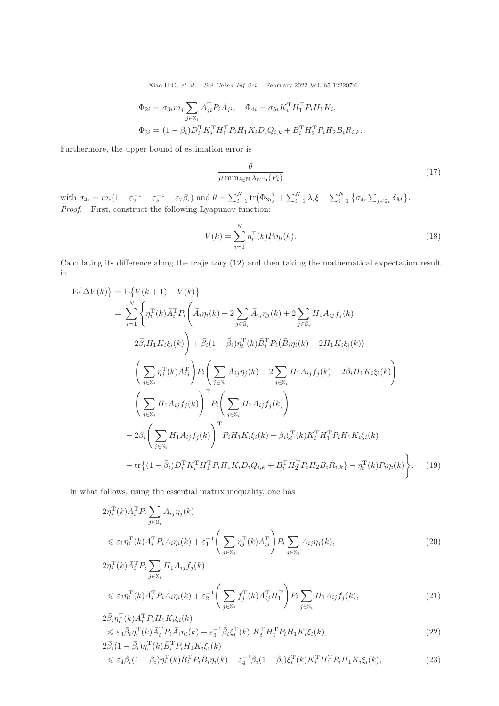$$
\Phi_{2i} = \sigma_{3i} m_j \sum_{j \in \mathbb{S}_i} \bar{A}_{ji}^{\mathrm{T}} P_i \bar{A}_{ji}, \quad \Phi_{4i} = \sigma_{5i} K_i^{\mathrm{T}} H_1^{\mathrm{T}} P_i H_1 K_i,
$$
  

$$
\Phi_{3i} = (1 - \bar{\beta}_i) D_i^{\mathrm{T}} K_i^{\mathrm{T}} H_1^{\mathrm{T}} P_i H_1 K_i D_i Q_{i,k} + B_i^{\mathrm{T}} H_2^{\mathrm{T}} P_i H_2 B_i R_{i,k}.
$$

Furthermore, the upper bound of estimation error is

<span id="page-5-2"></span>
$$
\frac{\theta}{\mu \min_{i \in \mathbb{N}} \lambda_{\min}(P_i)}
$$
(17)

with  $\sigma_{4i} = m_i(1 + \varepsilon_2^{-1} + \varepsilon_5^{-1} + \varepsilon_7\bar{\beta}_i)$  and  $\theta = \sum_{i=1}^N \text{tr}(\Phi_{3i}) + \sum_{i=1}^N \lambda_i \xi + \sum_{i=1}^N \left\{ \sigma_{4i} \sum_{j \in \mathbb{S}_i} \delta_M \right\}$ . Proof. First, construct the following Lyapunov function:

<span id="page-5-1"></span>
$$
V(k) = \sum_{i=1}^{N} \eta_i^{\mathrm{T}}(k) P_i \eta_i(k).
$$
 (18)

Calculating its difference along the trajectory [\(12\)](#page-4-1) and then taking the mathematical expectation result in

$$
E\{\Delta V(k)\} = E\{V(k+1) - V(k)\}\
$$
  
\n
$$
= \sum_{i=1}^{N} \left\{\eta_i^{\mathrm{T}}(k)\bar{A}_i^{\mathrm{T}} P_i\left(\bar{A}_i\eta_i(k) + 2\sum_{j \in S_i} \bar{A}_{ij}\eta_j(k) + 2\sum_{j \in S_i} H_1 A_{ij} f_j(k)\right.\right.\n- 2\bar{\beta}_i H_1 K_i \xi_i(k)\right\} + \bar{\beta}_i (1 - \bar{\beta}_i) \eta_i^{\mathrm{T}}(k) \bar{B}_i^{\mathrm{T}} P_i (\bar{B}_i \eta_i(k) - 2H_1 K_i \xi_i(k))\n+ \left(\sum_{j \in S_i} \eta_j^{\mathrm{T}}(k) \bar{A}_{ij}^{\mathrm{T}}\right) P_i \left(\sum_{j \in S_i} \bar{A}_{ij}\eta_j(k) + 2\sum_{j \in S_i} H_1 A_{ij} f_j(k) - 2\bar{\beta}_i H_1 K_i \xi_i(k)\right)\n+ \left(\sum_{j \in S_i} H_1 A_{ij} f_j(k)\right)^{\mathrm{T}} P_i \left(\sum_{j \in S_i} H_1 A_{ij} f_j(k)\right)\n- 2\bar{\beta}_i \left(\sum_{j \in S_i} H_1 A_{ij} f_j(k)\right)^{\mathrm{T}} P_i H_1 K_i \xi_i(k) + \bar{\beta}_i \xi_i^{\mathrm{T}}(k) K_i^{\mathrm{T}} H_1^{\mathrm{T}} P_i H_1 K_i \xi_i(k)\n+ \text{tr}\{(1 - \bar{\beta}_i) D_i^{\mathrm{T}} K_i^{\mathrm{T}} H_1^{\mathrm{T}} P_i H_1 K_i D_i Q_{i,k} + B_i^{\mathrm{T}} H_2^{\mathrm{T}} P_i H_2 B_i R_{i,k}\} - \eta_i^{\mathrm{T}}(k) P_i \eta_i(k)\right). \tag{19}
$$

In what follows, using the essential matrix inequality, one has

$$
2\eta_i^{\mathrm{T}}(k)\bar{A}_i^{\mathrm{T}}P_i \sum_{j\in\mathbb{S}_i} \bar{A}_{ij}\eta_j(k)
$$
  
\$\leq \varepsilon\_1\eta\_i^{\mathrm{T}}(k)\bar{A}\_i^{\mathrm{T}}P\_i\bar{A}\_i\eta\_i(k) + \varepsilon\_1^{-1}\left(\sum\_{j\in\mathbb{S}\_i}\eta\_j^{\mathrm{T}}(k)\bar{A}\_{ij}^{\mathrm{T}}\right)P\_i \sum\_{j\in\mathbb{S}\_i}\bar{A}\_{ij}\eta\_j(k),  
2\eta\_i^{\mathrm{T}}(k)\bar{A}\_i^{\mathrm{T}}P\_i \sum\_{j\in\mathbb{S}\_i}H\_1A\_{ij}f\_j(k) \qquad (20)\$

<span id="page-5-0"></span>
$$
\leq \varepsilon_2 \eta_i^{\mathrm{T}}(k) \bar{A}_i^{\mathrm{T}} P_i \bar{A}_i \eta_i(k) + \varepsilon_2^{-1} \left( \sum_{j \in \mathbb{S}_i} f_j^{\mathrm{T}}(k) A_{ij}^{\mathrm{T}} H_1^{\mathrm{T}} \right) P_i \sum_{j \in \mathbb{S}_i} H_1 A_{ij} f_j(k), \tag{21}
$$

$$
2\bar{\beta}_{i}\eta_{i}^{\mathrm{T}}(k)\bar{A}_{i}^{\mathrm{T}}P_{i}H_{1}K_{i}\xi_{i}(k) \n\leq \varepsilon_{3}\bar{\beta}_{i}\eta_{i}^{\mathrm{T}}(k)\bar{A}_{i}^{\mathrm{T}}P_{i}\bar{A}_{i}\eta_{i}(k) + \varepsilon_{3}^{-1}\bar{\beta}_{i}\xi_{i}^{\mathrm{T}}(k)\ K_{i}^{\mathrm{T}}H_{1}^{\mathrm{T}}P_{i}H_{1}K_{i}\xi_{i}(k), \n2\bar{\beta}_{i}(1-\bar{\beta}_{i})\eta_{i}^{\mathrm{T}}(k)\bar{B}_{i}^{\mathrm{T}}P_{i}H_{1}K_{i}\xi_{i}(k) \n\leq \varepsilon_{4}\bar{\beta}_{i}(1-\bar{\beta}_{i})\eta_{i}^{\mathrm{T}}(k)\bar{B}_{i}^{\mathrm{T}}P_{i}\bar{B}_{i}\eta_{i}(k) + \varepsilon_{4}^{-1}\bar{\beta}_{i}(1-\bar{\beta}_{i})\xi_{i}^{\mathrm{T}}(k)K_{i}^{\mathrm{T}}H_{1}^{\mathrm{T}}P_{i}H_{1}K_{i}\xi_{i}(k),
$$
\n(23)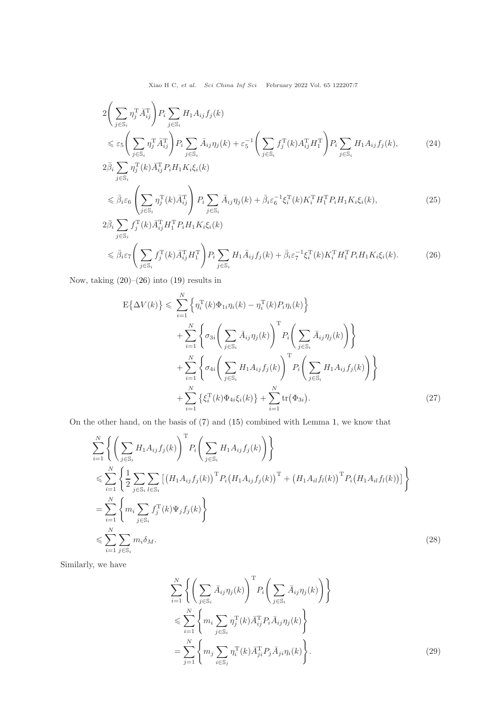$$
2\left(\sum_{j\in\mathbb{S}_i} \eta_j^{\mathrm{T}} \bar{A}_{ij}^{\mathrm{T}}\right) P_i \sum_{j\in\mathbb{S}_i} H_1 A_{ij} f_j(k)
$$
  
\$\leqslant \varepsilon\_5 \left(\sum\_{j\in\mathbb{S}\_i} \eta\_j^{\mathrm{T}} \bar{A}\_{ij}^{\mathrm{T}}\right) P\_i \sum\_{j\in\mathbb{S}\_i} \bar{A}\_{ij} \eta\_j(k) + \varepsilon\_5^{-1} \left(\sum\_{j\in\mathbb{S}\_i} f\_j^{\mathrm{T}}(k) A\_{ij}^{\mathrm{T}} H\_1^{\mathrm{T}}\right) P\_i \sum\_{j\in\mathbb{S}\_i} H\_1 A\_{ij} f\_j(k), \qquad (24)\$  
2 $\bar{\beta}_i \sum_{j\in\mathbb{S}_i} \eta_j^{\mathrm{T}}(k) \bar{A}_{ij}^{\mathrm{T}} P_i H_1 K_i \xi_i(k)$ 

$$
\leq \bar{\beta}_{i}\varepsilon_{6} \left( \sum_{j\in\mathbb{S}_{i}} \eta_{j}^{\mathrm{T}}(k) \bar{A}_{ij}^{\mathrm{T}} \right) P_{i} \sum_{j\in\mathbb{S}_{i}} \bar{A}_{ij}\eta_{j}(k) + \bar{\beta}_{i}\varepsilon_{6}^{-1}\xi_{i}^{\mathrm{T}}(k)K_{i}^{\mathrm{T}}H_{1}^{\mathrm{T}}P_{i}H_{1}K_{i}\xi_{i}(k),
$$
\n(25)\n
$$
2\bar{\beta}_{i} \sum_{j} f_{j}^{\mathrm{T}}(k) \bar{A}_{ij}^{\mathrm{T}}H_{1}^{\mathrm{T}}P_{i}H_{1}K_{i}\xi_{i}(k)
$$

$$
\leq \bar{\beta}_i \varepsilon_7 \Bigg( \sum_{j \in \mathbb{S}_i} f_j^{\mathrm{T}}(k) \bar{A}_{ij}^{\mathrm{T}} H_1^{\mathrm{T}} \Bigg) P_i \sum_{j \in \mathbb{S}_i} H_1 \bar{A}_{ij} f_j(k) + \bar{\beta}_i \varepsilon_7^{-1} \xi_i^{\mathrm{T}}(k) K_i^{\mathrm{T}} H_1^{\mathrm{T}} P_i H_1 K_i \xi_i(k). \tag{26}
$$

Now, taking  $(20)$ – $(26)$  into  $(19)$  results in

<span id="page-6-0"></span>
$$
E\{\Delta V(k)\}\leqslant \sum_{i=1}^{N} \left\{\eta_i^{\mathrm{T}}(k)\Phi_{1i}\eta_i(k) - \eta_i^{\mathrm{T}}(k)P_i\eta_i(k)\right\} + \sum_{i=1}^{N} \left\{\sigma_{3i}\left(\sum_{j\in\mathbb{S}_i} \bar{A}_{ij}\eta_j(k)\right)^{\mathrm{T}} P_i\left(\sum_{j\in\mathbb{S}_i} \bar{A}_{ij}\eta_j(k)\right)\right\} + \sum_{i=1}^{N} \left\{\sigma_{4i}\left(\sum_{j\in\mathbb{S}_i} H_1A_{ij}f_j(k)\right)^{\mathrm{T}} P_i\left(\sum_{j\in\mathbb{S}_i} H_1A_{ij}f_j(k)\right)\right\} + \sum_{i=1}^{N} \left\{\xi_i^{\mathrm{T}}(k)\Phi_{4i}\xi_i(k)\right\} + \sum_{i=1}^{N} \text{tr}(\Phi_{3i}).
$$
\n(27)

On the other hand, on the basis of [\(7\)](#page-3-3) and [\(15\)](#page-4-2) combined with Lemma [1,](#page-3-5) we know that

$$
\sum_{i=1}^{N} \left\{ \left( \sum_{j \in \mathbb{S}_i} H_1 A_{ij} f_j(k) \right)^{\mathrm{T}} P_i \left( \sum_{j \in \mathbb{S}_i} H_1 A_{ij} f_j(k) \right) \right\} \n\leq \sum_{i=1}^{N} \left\{ \frac{1}{2} \sum_{j \in \mathbb{S}_i} \sum_{l \in \mathbb{S}_i} \left[ \left( H_1 A_{ij} f_j(k) \right)^{\mathrm{T}} P_i \left( H_1 A_{ij} f_j(k) \right)^{\mathrm{T}} + \left( H_1 A_{il} f_l(k) \right)^{\mathrm{T}} P_i \left( H_1 A_{il} f_l(k) \right) \right] \right\} \n= \sum_{i=1}^{N} \left\{ m_i \sum_{j \in \mathbb{S}_i} f_j^{\mathrm{T}}(k) \Psi_j f_j(k) \right\} \n\leq \sum_{i=1}^{N} \sum_{j \in \mathbb{S}_i} m_i \delta_M.
$$
\n(28)

Similarly, we have

<span id="page-6-2"></span><span id="page-6-1"></span>
$$
\sum_{i=1}^{N} \left\{ \left( \sum_{j \in \mathbb{S}_i} \bar{A}_{ij} \eta_j(k) \right)^{\mathrm{T}} P_i \left( \sum_{j \in \mathbb{S}_i} \bar{A}_{ij} \eta_j(k) \right) \right\} \n\leqslant \sum_{i=1}^{N} \left\{ m_i \sum_{j \in \mathbb{S}_i} \eta_j^{\mathrm{T}}(k) \bar{A}_{ij}^{\mathrm{T}} P_i \bar{A}_{ij} \eta_j(k) \right\} \n= \sum_{j=1}^{N} \left\{ m_j \sum_{i \in \mathbb{S}_j} \eta_i^{\mathrm{T}}(k) \bar{A}_{ji}^{\mathrm{T}} P_j \bar{A}_{ji} \eta_i(k) \right\}.
$$
\n(29)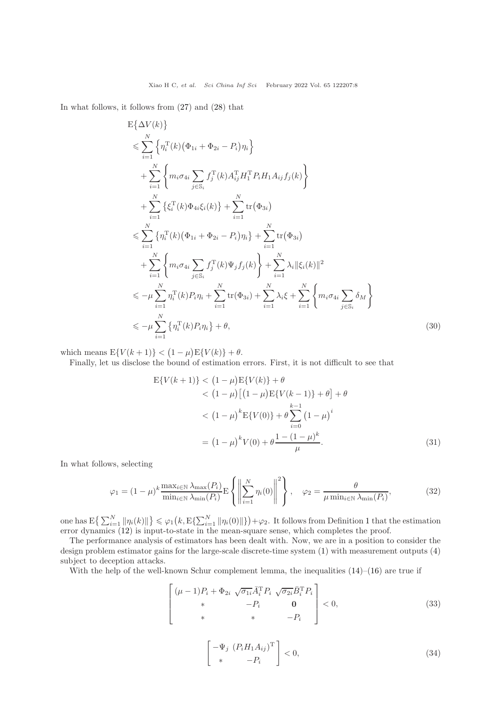In what follows, it follows from [\(27\)](#page-6-1) and [\(28\)](#page-6-2) that

$$
E\{\Delta V(k)\}\
$$
  
\n
$$
\leq \sum_{i=1}^{N} \left\{\eta_i^{\mathrm{T}}(k) (\Phi_{1i} + \Phi_{2i} - P_i) \eta_i\right\}
$$
  
\n
$$
+ \sum_{i=1}^{N} \left\{ m_i \sigma_{4i} \sum_{j \in S_i} f_j^{\mathrm{T}}(k) A_{ij}^{\mathrm{T}} H_1^{\mathrm{T}} P_i H_1 A_{ij} f_j(k)\right\}
$$
  
\n
$$
+ \sum_{i=1}^{N} \left\{\xi_i^{\mathrm{T}}(k) \Phi_{4i} \xi_i(k)\right\} + \sum_{i=1}^{N} \text{tr}(\Phi_{3i})
$$
  
\n
$$
\leq \sum_{i=1}^{N} \left\{\eta_i^{\mathrm{T}}(k) (\Phi_{1i} + \Phi_{2i} - P_i) \eta_i\right\} + \sum_{i=1}^{N} \text{tr}(\Phi_{3i})
$$
  
\n
$$
+ \sum_{i=1}^{N} \left\{ m_i \sigma_{4i} \sum_{j \in S_i} f_j^{\mathrm{T}}(k) \Psi_j f_j(k)\right\} + \sum_{i=1}^{N} \lambda_i ||\xi_i(k)||^2
$$
  
\n
$$
\leq -\mu \sum_{i=1}^{N} \eta_i^{\mathrm{T}}(k) P_i \eta_i + \sum_{i=1}^{N} \text{tr}(\Phi_{3i}) + \sum_{i=1}^{N} \lambda_i \xi + \sum_{i=1}^{N} \left\{ m_i \sigma_{4i} \sum_{j \in S_i} \delta_M \right\}
$$
  
\n
$$
\leq -\mu \sum_{i=1}^{N} \left\{\eta_i^{\mathrm{T}}(k) P_i \eta_i\right\} + \theta,
$$
 (30)

which means  $E\{V(k+1)\} < (1-\mu)E\{V(k)\} + \theta$ .

Finally, let us disclose the bound of estimation errors. First, it is not difficult to see that

$$
E{V(k+1)} < (1 - \mu)E{V(k)} + \theta
$$
  
< 
$$
< (1 - \mu)[(1 - \mu)E{V(k-1)} + \theta] + \theta
$$
  

$$
< (1 - \mu)^{k}E{V(0)} + \theta \sum_{i=0}^{k-1} (1 - \mu)^{i}
$$
  

$$
= (1 - \mu)^{k}V(0) + \theta \frac{1 - (1 - \mu)^{k}}{\mu}.
$$
 (31)

In what follows, selecting

$$
\varphi_1 = (1 - \mu)^k \frac{\max_{i \in \mathbb{N}} \lambda_{\max}(P_i)}{\min_{i \in \mathbb{N}} \lambda_{\min}(P_i)} \mathbb{E} \left\{ \left\| \sum_{i=1}^N \eta_i(0) \right\|^2 \right\}, \quad \varphi_2 = \frac{\theta}{\mu \min_{i \in \mathbb{N}} \lambda_{\min}(P_i)},
$$
(32)

one has  $E\left\{\sum_{i=1}^N \|\eta_i(k)\|\right\} \leq \varphi_1\left(k, E\left\{\sum_{i=1}^N \|\eta_i(0)\|\right\}\right) + \varphi_2$  $E\left\{\sum_{i=1}^N \|\eta_i(k)\|\right\} \leq \varphi_1\left(k, E\left\{\sum_{i=1}^N \|\eta_i(0)\|\right\}\right) + \varphi_2$  $E\left\{\sum_{i=1}^N \|\eta_i(k)\|\right\} \leq \varphi_1\left(k, E\left\{\sum_{i=1}^N \|\eta_i(0)\|\right\}\right) + \varphi_2$ . It follows from Definition 1 that the estimation error dynamics [\(12\)](#page-4-1) is input-to-state in the mean-square sense, which completes the proof.

The performance analysis of estimators has been dealt with. Now, we are in a position to consider the design problem estimator gains for the large-scale discrete-time system [\(1\)](#page-2-0) with measurement outputs [\(4\)](#page-2-1) subject to deception attacks.

With the help of the well-known Schur complement lemma, the inequalities  $(14)$ – $(16)$  are true if

$$
\begin{bmatrix}\n(\mu - 1)P_i + \Phi_{2i} \sqrt{\sigma_{1i}} \bar{A}_i^{\mathrm{T}} P_i \sqrt{\sigma_{2i}} \bar{B}_i^{\mathrm{T}} P_i \\
\ast & -P_i & \mathbf{0} \\
\ast & \ast & -P_i\n\end{bmatrix} < 0,\n\tag{33}
$$

$$
\begin{bmatrix} -\Psi_j & (P_i H_1 A_{ij})^{\mathrm{T}} \\ * & -P_i \end{bmatrix} < 0,\tag{34}
$$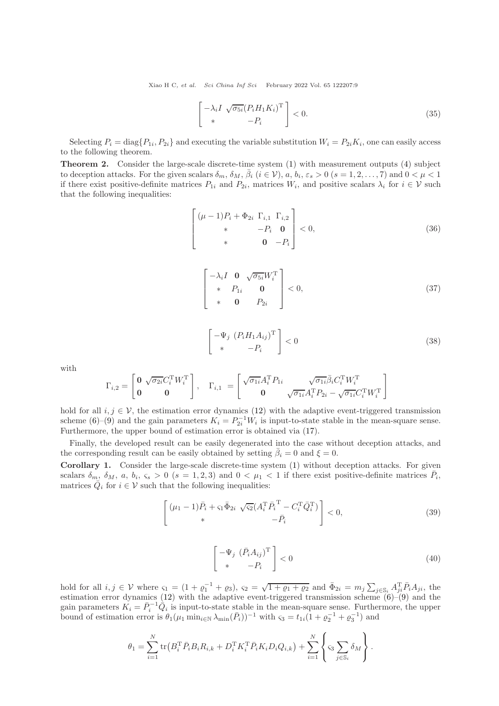$$
\begin{bmatrix} -\lambda_i I & \sqrt{\sigma_{5i}} (P_i H_1 K_i)^{\mathrm{T}} \\ * & -P_i \end{bmatrix} < 0.
$$
 (35)

Selecting  $P_i = \text{diag}\{P_{1i}, P_{2i}\}\$  and executing the variable substitution  $W_i = P_{2i}K_i$ , one can easily access to the following theorem.

<span id="page-8-0"></span>Theorem 2. Consider the large-scale discrete-time system [\(1\)](#page-2-0) with measurement outputs [\(4\)](#page-2-1) subject to deception attacks. For the given scalars  $\delta_m$ ,  $\delta_M$ ,  $\bar{\beta}_i$   $(i \in \mathcal{V})$ ,  $a, b_i, \varepsilon_s > 0$   $(s = 1, 2, ..., 7)$  and  $0 < \mu < 1$ if there exist positive-definite matrices  $P_{1i}$  and  $P_{2i}$ , matrices  $W_i$ , and positive scalars  $\lambda_i$  for  $i \in V$  such that the following inequalities:

$$
\begin{bmatrix}\n(\mu - 1)P_i + \Phi_{2i} & \Gamma_{i,1} & \Gamma_{i,2} \\
\ast & -P_i & \mathbf{0} \\
\ast & \mathbf{0} & -P_i\n\end{bmatrix} < 0,\n\tag{36}
$$

<span id="page-8-1"></span>
$$
\begin{bmatrix} -\lambda_i I & \mathbf{0} & \sqrt{\sigma_{5i}} W_i^{\mathrm{T}} \\ * & P_{1i} & \mathbf{0} \\ * & \mathbf{0} & P_{2i} \end{bmatrix} < 0, \tag{37}
$$

<span id="page-8-2"></span>
$$
\begin{bmatrix} -\Psi_j & (P_i H_1 A_{ij})^T \\ * & -P_i \end{bmatrix} < 0 \tag{38}
$$

with

$$
\Gamma_{i,2} = \begin{bmatrix} \mathbf{0} & \sqrt{\sigma_{2i}} C_i^{\mathrm{T}} W_i^{\mathrm{T}} \\ \mathbf{0} & \mathbf{0} \end{bmatrix}, \quad \Gamma_{i,1} = \begin{bmatrix} \sqrt{\sigma_{1i}} A_i^{\mathrm{T}} P_{1i} & \sqrt{\sigma_{1i}} \overline{\beta}_i C_i^{\mathrm{T}} W_i^{\mathrm{T}} \\ \mathbf{0} & \sqrt{\sigma_{1i}} A_i^{\mathrm{T}} P_{2i} - \sqrt{\sigma_{1i}} C_i^{\mathrm{T}} W_i^{\mathrm{T}} \end{bmatrix}
$$

hold for all  $i, j \in V$ , the estimation error dynamics [\(12\)](#page-4-1) with the adaptive event-triggered transmission scheme [\(6\)](#page-3-2)–[\(9\)](#page-3-0) and the gain parameters  $K_i = P_{2i}^{-1} W_i$  is input-to-state stable in the mean-square sense. Furthermore, the upper bound of estimation error is obtained via [\(17\)](#page-5-2).

Finally, the developed result can be easily degenerated into the case without deception attacks, and the corresponding result can be easily obtained by setting  $\bar{\beta}_i = 0$  and  $\xi = 0$ .

Corollary 1. Consider the large-scale discrete-time system [\(1\)](#page-2-0) without deception attacks. For given scalars  $\delta_m$ ,  $\delta_M$ ,  $a$ ,  $b_i$ ,  $\varsigma_s > 0$  ( $s = 1, 2, 3$ ) and  $0 < \mu_1 < 1$  if there exist positive-definite matrices  $\bar{P}_i$ , matrices  $\overline{Q}_i$  for  $i \in \mathcal{V}$  such that the following inequalities:

$$
\begin{bmatrix}\n(\mu_1 - 1)\bar{P}_i + \varsigma_1 \bar{\Phi}_{2i} & \sqrt{\varsigma_2} (A_i^{\mathrm{T}} \bar{P}_i^{\mathrm{T}} - C_i^{\mathrm{T}} \bar{Q}_i^{\mathrm{T}}) \\
\ast & -\bar{P}_i\n\end{bmatrix} < 0,\n\tag{39}
$$

$$
\begin{bmatrix} -\Psi_j & (\bar{P}_i A_{ij})^{\mathrm{T}} \\ * & -P_i \end{bmatrix} < 0
$$
\n(40)

hold for all  $i, j \in V$  where  $\varsigma_1 = (1 + \varrho_1^{-1} + \varrho_3)$ ,  $\varsigma_2 = \sqrt{1 + \varrho_1 + \varrho_2}$  and  $\bar{\Phi}_{2i} = m_j \sum_{j \in S_i} A_{ji}^T \bar{P}_i A_{ji}$ , the estimation error dynamics [\(12\)](#page-4-1) with the adaptive event-triggered transmission scheme  $(6)-(9)$  $(6)-(9)$  and the gain parameters  $K_i = \bar{P}_i^{-1} \bar{Q}_i$  is input-to-state stable in the mean-square sense. Furthermore, the upper bound of estimation error is  $\theta_1(\mu_1 \min_{i \in \mathbb{N}} \lambda_{\min}(\bar{P}_i))^{-1}$  with  $\varsigma_3 = t_{1i}(1 + \varrho_2^{-1} + \varrho_3^{-1})$  and

$$
\theta_1 = \sum_{i=1}^N \text{tr} (B_i^{\text{T}} \bar{P}_i B_i R_{i,k} + D_i^{\text{T}} K_i^{\text{T}} \bar{P}_i K_i D_i Q_{i,k}) + \sum_{i=1}^N \left\{ \varsigma_3 \sum_{j \in \mathbb{S}_i} \delta_M \right\}.
$$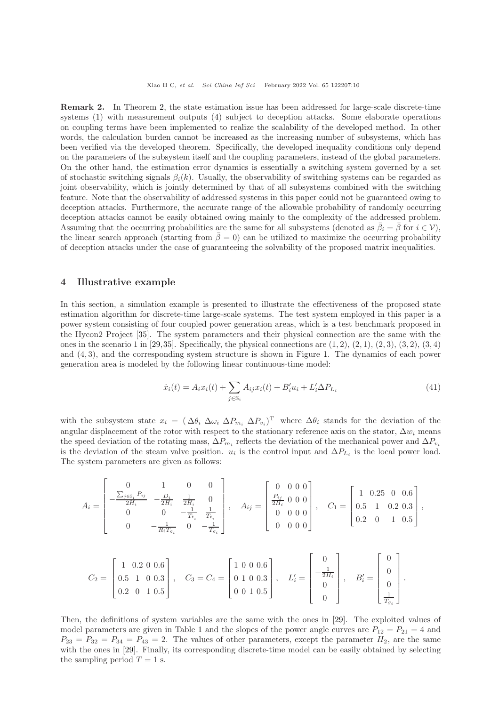Remark 2. In Theorem [2,](#page-8-0) the state estimation issue has been addressed for large-scale discrete-time systems [\(1\)](#page-2-0) with measurement outputs [\(4\)](#page-2-1) subject to deception attacks. Some elaborate operations on coupling terms have been implemented to realize the scalability of the developed method. In other words, the calculation burden cannot be increased as the increasing number of subsystems, which has been verified via the developed theorem. Specifically, the developed inequality conditions only depend on the parameters of the subsystem itself and the coupling parameters, instead of the global parameters. On the other hand, the estimation error dynamics is essentially a switching system governed by a set of stochastic switching signals  $\beta_i(k)$ . Usually, the observability of switching systems can be regarded as joint observability, which is jointly determined by that of all subsystems combined with the switching feature. Note that the observability of addressed systems in this paper could not be guaranteed owing to deception attacks. Furthermore, the accurate range of the allowable probability of randomly occurring deception attacks cannot be easily obtained owing mainly to the complexity of the addressed problem. Assuming that the occurring probabilities are the same for all subsystems (denoted as  $\bar{\beta}_i = \bar{\beta}$  for  $i \in \mathcal{V}$ ), the linear search approach (starting from  $\beta = 0$ ) can be utilized to maximize the occurring probability of deception attacks under the case of guaranteeing the solvability of the proposed matrix inequalities.

## 4 Illustrative example

In this section, a simulation example is presented to illustrate the effectiveness of the proposed state estimation algorithm for discrete-time large-scale systems. The test system employed in this paper is a power system consisting of four coupled power generation areas, which is a test benchmark proposed in the Hycon2 Project [\[35\]](#page-15-9). The system parameters and their physical connection are the same with the ones in the scenario 1 in [\[29,](#page-15-4)[35\]](#page-15-9). Specifically, the physical connections are  $(1, 2)$ ,  $(2, 1)$ ,  $(2, 3)$ ,  $(3, 2)$ ,  $(3, 4)$ and (4, 3), and the corresponding system structure is shown in Figure [1.](#page-10-0) The dynamics of each power generation area is modeled by the following linear continuous-time model:

$$
\dot{x}_i(t) = A_i x_i(t) + \sum_{j \in \mathbb{S}_i} A_{ij} x_i(t) + B'_i u_i + L'_i \Delta P_{L_i}
$$
\n(41)

with the subsystem state  $x_i = (\Delta \theta_i \ \Delta \omega_i \ \Delta P_{m_i} \ \Delta P_{v_i})^T$  where  $\Delta \theta_i$  stands for the deviation of the angular displacement of the rotor with respect to the stationary reference axis on the stator,  $\Delta w_i$  means the speed deviation of the rotating mass,  $\Delta P_{m_i}$  reflects the deviation of the mechanical power and  $\Delta P_{v_i}$ is the deviation of the steam valve position.  $u_i$  is the control input and  $\Delta P_{L_i}$  is the local power load. The system parameters are given as follows:

$$
A_{i} = \begin{bmatrix} 0 & 1 & 0 & 0 \\ -\frac{\sum_{j \in \mathbb{S}_{i}} P_{ij}}{2H_{i}} & -\frac{D_{i}}{2H_{i}} & \frac{1}{2H_{i}} & 0 \\ 0 & 0 & -\frac{1}{T_{t_{i}}} & \frac{1}{T_{t_{i}}} \\ 0 & -\frac{1}{R_{i}T_{g_{i}}} & 0 & -\frac{1}{T_{g_{i}}} \end{bmatrix}, \quad A_{ij} = \begin{bmatrix} 0 & 0 & 0 & 0 \\ \frac{P_{ij}}{2H_{i}} & 0 & 0 & 0 \\ 0 & 0 & 0 & 0 \\ 0 & 0 & 0 & 0 \end{bmatrix}, \quad C_{1} = \begin{bmatrix} 1 & 0.25 & 0 & 0.6 \\ 0.5 & 1 & 0.2 & 0.3 \\ 0.2 & 0 & 1 & 0.5 \end{bmatrix},
$$
  

$$
\begin{bmatrix} 1 & 0.2 & 0 & 0.6 \end{bmatrix}
$$

$$
C_2 = \begin{bmatrix} 1 & 0.2 & 0 & 0.6 \\ 0.5 & 1 & 0 & 0.3 \\ 0.2 & 0 & 1 & 0.5 \end{bmatrix}, \quad C_3 = C_4 = \begin{bmatrix} 1 & 0 & 0 & 0.6 \\ 0 & 1 & 0 & 0.3 \\ 0 & 0 & 1 & 0.5 \end{bmatrix}, \quad L'_i = \begin{bmatrix} 0 \\ -\frac{1}{2H_i} \\ 0 \\ 0 \end{bmatrix}, \quad B'_i = \begin{bmatrix} 0 \\ 0 \\ 0 \\ \frac{1}{T_{g_i}} \end{bmatrix}.
$$

Then, the definitions of system variables are the same with the ones in [\[29\]](#page-15-4). The exploited values of model parameters are given in Table [1](#page-10-1) and the slopes of the power angle curves are  $P_{12} = P_{21} = 4$  and  $P_{23} = P_{32} = P_{34} = P_{43} = 2$ . The values of other parameters, except the parameter  $H_2$ , are the same with the ones in [\[29\]](#page-15-4). Finally, its corresponding discrete-time model can be easily obtained by selecting the sampling period  $T = 1$  s.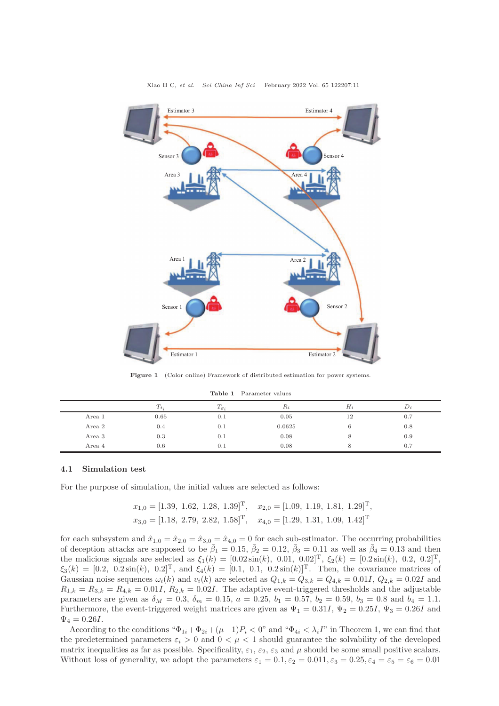<span id="page-10-0"></span>

Figure 1 (Color online) Framework of distributed estimation for power systems.

| Table 1 | Parameter values |  |
|---------|------------------|--|
|         |                  |  |

<span id="page-10-1"></span>

|        | $T_t$ | $1g_i$ | $R_i$  | H <sub>i</sub> | $\n  D$ |
|--------|-------|--------|--------|----------------|---------|
| Area 1 | 0.65  | 0.1    | 0.05   | 12             | 0.7     |
| Area 2 | 0.4   | 0.1    | 0.0625 |                | 0.8     |
| Area 3 | 0.3   | 0.1    | 0.08   |                | 0.9     |
| Area 4 | 0.6   | 0.1    | 0.08   |                | 0.7     |

#### 4.1 Simulation test

For the purpose of simulation, the initial values are selected as follows:

$$
x_{1,0} = [1.39, 1.62, 1.28, 1.39]^T
$$
,  $x_{2,0} = [1.09, 1.19, 1.81, 1.29]^T$ ,  
\n $x_{3,0} = [1.18, 2.79, 2.82, 1.58]^T$ ,  $x_{4,0} = [1.29, 1.31, 1.09, 1.42]^T$ 

for each subsystem and  $\hat{x}_{1,0} = \hat{x}_{2,0} = \hat{x}_{3,0} = \hat{x}_{4,0} = 0$  for each sub-estimator. The occurring probabilities of deception attacks are supposed to be  $\bar{\beta}_1 = 0.15$ ,  $\bar{\beta}_2 = 0.12$ ,  $\bar{\beta}_3 = 0.11$  as well as  $\bar{\beta}_4 = 0.13$  and then the malicious signals are selected as  $\xi_1(k) = [0.02 \sin(k), 0.01, 0.02]^T$ ,  $\xi_2(k) = [0.2 \sin(k), 0.2, 0.2]^T$ ,  $\xi_3(k) = [0.2, 0.2 \sin(k), 0.2]^T$ , and  $\xi_4(k) = [0.1, 0.1, 0.2 \sin(k)]^T$ . Then, the covariance matrices of Gaussian noise sequences  $\omega_i(k)$  and  $v_i(k)$  are selected as  $Q_{1,k} = Q_{3,k} = Q_{4,k} = 0.01I$ ,  $Q_{2,k} = 0.02I$  and  $R_{1,k} = R_{3,k} = R_{4,k} = 0.01I$ ,  $R_{2,k} = 0.02I$ . The adaptive event-triggered thresholds and the adjustable parameters are given as  $\delta_M = 0.3$ ,  $\delta_m = 0.15$ ,  $a = 0.25$ ,  $b_1 = 0.57$ ,  $b_2 = 0.59$ ,  $b_3 = 0.8$  and  $b_4 = 1.1$ . Furthermore, the event-triggered weight matrices are given as  $\Psi_1 = 0.31I$ ,  $\Psi_2 = 0.25I$ ,  $\Psi_3 = 0.26I$  and  $\Psi_4 = 0.26I$ .

According to the conditions " $\Phi_{1i} + \Phi_{2i} + (\mu - 1)P_i < 0$ " and " $\Phi_{4i} < \lambda_i I$ " in Theorem [1,](#page-4-6) we can find that the predetermined parameters  $\varepsilon_i > 0$  and  $0 < \mu < 1$  should guarantee the solvability of the developed matrix inequalities as far as possible. Specificality,  $\varepsilon_1$ ,  $\varepsilon_2$ ,  $\varepsilon_3$  and  $\mu$  should be some small positive scalars. Without loss of generality, we adopt the parameters  $\varepsilon_1 = 0.1, \varepsilon_2 = 0.011, \varepsilon_3 = 0.25, \varepsilon_4 = \varepsilon_5 = \varepsilon_6 = 0.01$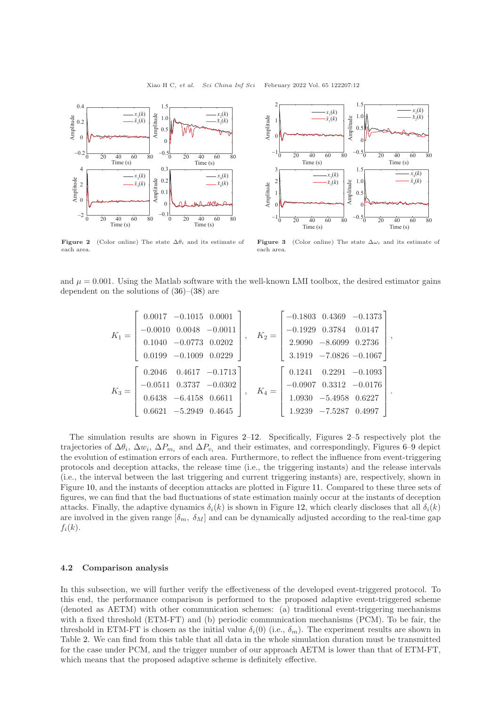<span id="page-11-0"></span>



Figure 2 (Color online) The state  $\Delta\theta_i$  and its estimate of each area.

Figure 3 (Color online) The state  $\Delta \omega_i$  and its estimate of each area.

and  $\mu = 0.001$ . Using the Matlab software with the well-known LMI toolbox, the desired estimator gains dependent on the solutions of [\(36\)](#page-8-1)–[\(38\)](#page-8-2) are

$$
K_1 = \begin{bmatrix} 0.0017 & -0.1015 & 0.0001 \\ -0.0010 & 0.0048 & -0.0011 \\ 0.1040 & -0.0773 & 0.0202 \\ 0.0199 & -0.1009 & 0.0229 \end{bmatrix}, \quad K_2 = \begin{bmatrix} -0.1803 & 0.4369 & -0.1373 \\ -0.1929 & 0.3784 & 0.0147 \\ 2.9090 & -8.6099 & 0.2736 \\ 3.1919 & -7.0826 & -0.1067 \\ 0.1067 \end{bmatrix},
$$

$$
K_3 = \begin{bmatrix} 0.2046 & 0.4617 & -0.1713 \\ -0.0511 & 0.3737 & -0.0302 \\ 0.6438 & -6.4158 & 0.6611 \\ 0.6621 & -5.2949 & 0.4645 \end{bmatrix}, \quad K_4 = \begin{bmatrix} 0.1241 & 0.2291 & -0.1093 \\ -0.0907 & 0.3312 & -0.0176 \\ 1.0930 & -5.4958 & 0.6227 \\ 1.9239 & -7.5287 & 0.4997 \end{bmatrix}.
$$

The simulation results are shown in Figures [2–](#page-11-0)[12.](#page-13-0) Specifically, Figures [2–](#page-11-0)[5](#page-12-0) respectively plot the trajectories of  $\Delta\theta_i$ ,  $\Delta w_i$ ,  $\Delta P_{m_i}$  and  $\Delta P_{v_i}$  and their estimates, and correspondingly, Figures [6](#page-12-1)[–9](#page-12-2) depict the evolution of estimation errors of each area. Furthermore, to reflect the influence from event-triggering protocols and deception attacks, the release time (i.e., the triggering instants) and the release intervals (i.e., the interval between the last triggering and current triggering instants) are, respectively, shown in Figure [10,](#page-13-1) and the instants of deception attacks are plotted in Figure [11.](#page-13-0) Compared to these three sets of figures, we can find that the bad fluctuations of state estimation mainly occur at the instants of deception attacks. Finally, the adaptive dynamics  $\delta_i(k)$  is shown in Figure [12,](#page-13-0) which clearly discloses that all  $\delta_i(k)$ are involved in the given range  $[\delta_m, \delta_M]$  and can be dynamically adjusted according to the real-time gap  $f_i(k)$ .

## 4.2 Comparison analysis

In this subsection, we will further verify the effectiveness of the developed event-triggered protocol. To this end, the performance comparison is performed to the proposed adaptive event-triggered scheme (denoted as AETM) with other communication schemes: (a) traditional event-triggering mechanisms with a fixed threshold (ETM-FT) and (b) periodic communication mechanisms (PCM). To be fair, the threshold in ETM-FT is chosen as the initial value  $\delta_i(0)$  (i.e.,  $\delta_m$ ). The experiment results are shown in Table [2.](#page-13-2) We can find from this table that all data in the whole simulation duration must be transmitted for the case under PCM, and the trigger number of our approach AETM is lower than that of ETM-FT, which means that the proposed adaptive scheme is definitely effective.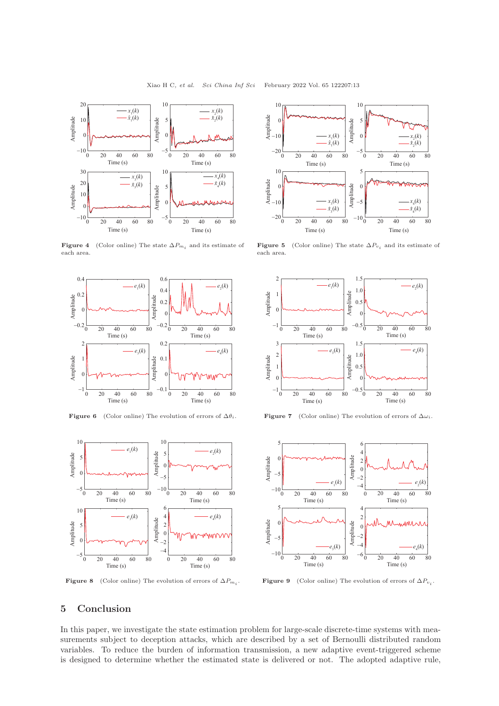<span id="page-12-0"></span>

**Figure 4** (Color online) The state  $\Delta P_{m_i}$  and its estimate of each area.

<span id="page-12-1"></span>

Figure 6 (Color online) The evolution of errors of  $\Delta \theta_i$ . Figure 7 (Color online) The evolution of errors of  $\Delta \omega_i$ .

<span id="page-12-2"></span>

**Figure 8** (Color online) The evolution of errors of  $\Delta P_{m_i}$ .



**Figure 5** (Color online) The state  $\Delta P_{v_i}$  and its estimate of each area.





**Figure 9** (Color online) The evolution of errors of  $\Delta P_{v_i}$ .

## 5 Conclusion

In this paper, we investigate the state estimation problem for large-scale discrete-time systems with measurements subject to deception attacks, which are described by a set of Bernoulli distributed random variables. To reduce the burden of information transmission, a new adaptive event-triggered scheme is designed to determine whether the estimated state is delivered or not. The adopted adaptive rule,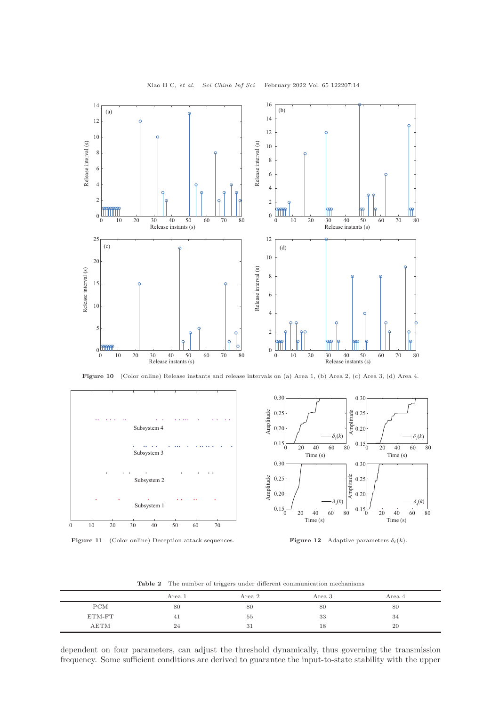<span id="page-13-1"></span>

Xiao H C, et al. Sci China Inf Sci February 2022 Vol. 65 122207:14

Figure 10 (Color online) Release instants and release intervals on (a) Area 1, (b) Area 2, (c) Area 3, (d) Area 4.

<span id="page-13-0"></span>





|  |  |  |  |  | <b>Table 2</b> The number of triggers under different communication mechanisms |  |
|--|--|--|--|--|--------------------------------------------------------------------------------|--|
|--|--|--|--|--|--------------------------------------------------------------------------------|--|

<span id="page-13-2"></span>

|        | Area 1 | Area 2         | Area 3 | Area 4 |  |
|--------|--------|----------------|--------|--------|--|
| PCM    | 80     | 80             | 80     | 80     |  |
| ETM-FT | 41     | 55             | 33     | 34     |  |
| AETM   | 24     | $\Omega$<br>υı | 18     | 20     |  |

dependent on four parameters, can adjust the threshold dynamically, thus governing the transmission frequency. Some sufficient conditions are derived to guarantee the input-to-state stability with the upper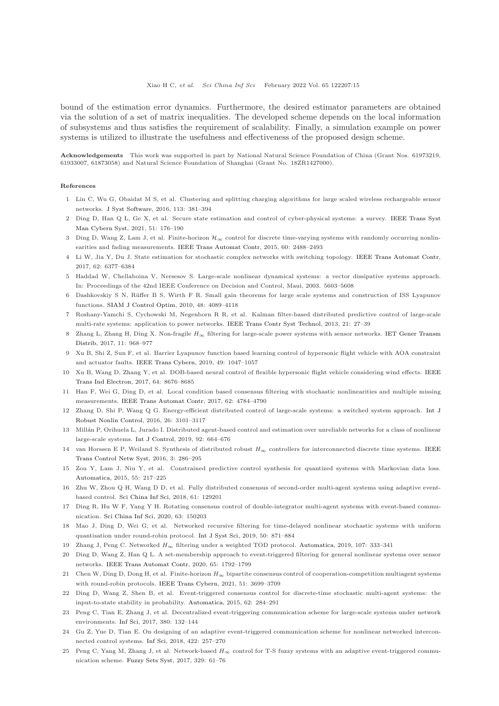bound of the estimation error dynamics. Furthermore, the desired estimator parameters are obtained via the solution of a set of matrix inequalities. The developed scheme depends on the local information of subsystems and thus satisfies the requirement of scalability. Finally, a simulation example on power systems is utilized to illustrate the usefulness and effectiveness of the proposed design scheme.

Acknowledgements This work was supported in part by National Natural Science Foundation of China (Grant Nos. 61973219, 61933007, 61873058) and Natural Science Foundation of Shanghai (Grant No. 18ZR1427000).

#### <span id="page-14-0"></span>References

- <span id="page-14-1"></span>1 Lin C, Wu G, Obaidat M S, et al. Clustering and splitting charging algorithms for large scaled wireless rechargeable sensor networks. [J Syst Software,](https://doi.org/10.1016/j.jss.2015.12.017) 2016, 113: 381–394
- 2 Ding D, Han Q L, Ge X, et al. Secure state estimation and control of cyber-physical systems: a survey. IEEE Trans Syst Man Cybern Syst, 2021, 51: 176–190
- <span id="page-14-2"></span>3 Ding D, Wang Z, Lam J, et al. Finite-horizon  $\mathcal{H}_{\infty}$  control for discrete time-varying systems with randomly occurring nonlinearities and fading measurements. [IEEE Trans Automat Contr,](https://doi.org/10.1109/TAC.2014.2380671) 2015, 60: 2488–2493
- <span id="page-14-3"></span>4 Li W, Jia Y, Du J. State estimation for stochastic complex networks with switching topology. [IEEE Trans Automat Contr,](https://doi.org/10.1109/TAC.2017.2649878) 2017, 62: 6377–6384
- <span id="page-14-4"></span>5 Haddad W, Chellaboina V, Nersesov S. Large-scale nonlinear dynamical systems: a vector dissipative systems approach. In: Proceedings of the 42nd IEEE Conference on Decision and Control, Maui, 2003. 5603–5608
- <span id="page-14-5"></span>6 Dashkovskiy S N, Rüffer B S, Wirth F R. Small gain theorems for large scale systems and construction of ISS Lyapunov functions. [SIAM J Control Optim,](https://doi.org/10.1137/090746483) 2010, 48: 4089–4118
- <span id="page-14-7"></span>7 Roshany-Yamchi S, Cychowski M, Negenborn R R, et al. Kalman filter-based distributed predictive control of large-scale multi-rate systems: application to power networks. [IEEE Trans Contr Syst Technol,](https://doi.org/10.1109/TCST.2011.2172444) 2013, 21: 27–39
- Zhang L, Zhang H, Ding X. Non-fragile  $H_{\infty}$  [filtering for large-scale power systems with sensor networks.](https://doi.org/10.1049/iet-gtd.2016.0988) IET Gener Transm Distrib, 2017, 11: 968–977
- <span id="page-14-6"></span>9 Xu B, Shi Z, Sun F, et al. Barrier Lyapunov function based learning control of hypersonic flight vehicle with AOA constraint and actuator faults. [IEEE Trans Cybern,](https://doi.org/10.1109/TCYB.2018.2794972) 2019, 49: 1047–1057
- <span id="page-14-8"></span>10 Xu B, Wang D, Zh[ang Y, et al. DOB-based neural control of flexible hypersonic flight vehicle considering wind effects.](https://doi.org/10.1109/TIE.2017.2703678) IEEE Trans Ind Electron, 2017, 64: 8676–8685
- <span id="page-14-9"></span>11 Han F, Wei G, Ding D, et al. Local condition based consensus filtering with stochastic nonlinearities and multiple missing measurements. [IEEE Trans Automat Contr,](https://doi.org/10.1109/TAC.2017.2689722) 2017, 62: 4784–4790
- 12 Zhang D, Shi P, Wang [Q G. Energy-efficient distributed control of large-scale systems: a switched system approach.](https://doi.org/10.1002/rnc.3494) Int J Robust Nonlin Control, 2016, 26: 3101–3117
- <span id="page-14-10"></span>13 Millán P, Orihuela L, Jurado I. Distributed agent-based control and estimation over unreliable networks for a class of nonlinear large-scale systems. [Int J Control,](https://doi.org/10.1080/00207179.2017.1365272) 2019, 92: 664–676
- <span id="page-14-11"></span>14 van Horssen E P, Weiland S. Synthesis of distributed robust  $H_{\infty}$  controllers for interconnected discrete time systems. IEEE Trans Control Netw Syst, 2016, 3: 286–295
- <span id="page-14-12"></span>15 Zou Y, Lam J, Niu Y, et al. Constrained predictive control synthesis for quantized systems with Markovian data loss. [Automatica,](https://doi.org/10.1016/j.automatica.2015.03.016) 2015, 55: 217–225
- <span id="page-14-13"></span>16 Zhu W, Zhou Q H, Wang D D, et al. Fully distributed consensus of second-order multi-agent systems using adaptive eventbased control. [Sci China Inf Sci,](https://doi.org/10.1007/s11432-018-9510-2) 2018, 61: 129201
- <span id="page-14-14"></span>17 Ding R, Hu W F, Yang Y H. Rotating consensus control of double-integrator multi-agent systems with event-based communication. [Sci China Inf Sci,](https://doi.org/10.1007/s11432-019-2692-9) 2020, 63: 150203
- <span id="page-14-15"></span>18 Mao J, Ding D, Wei G, et al. Networked recursive filtering for time-delayed nonlinear stochastic systems with uniform quantisation under round-robin protocol. [Int J Syst Sci,](https://doi.org/10.1080/00207721.2019.1586002) 2019, 50: 871–884
- <span id="page-14-16"></span>19 Zhang J, Peng C. Networked H<sup>∞</sup> filtering under a weighted TOD protocol. [Automatica,](https://doi.org/10.1016/j.automatica.2019.05.064) 2019, 107: 333–341
- <span id="page-14-17"></span>20 Ding D, Wang Z, Han Q L. A set-membership approach to event-triggered filtering for general nonlinear systems over sensor networks. [IEEE Trans Automat Contr,](https://doi.org/10.1109/TAC.2019.2934389) 2020, 65: 1792–1799
- <span id="page-14-18"></span>21 Chen W, Ding D, Dong H, et al. Finite-horizon  $H_{\infty}$  bipartite consensus control of cooperation-competition multiagent systems with round-robin protocols. [IEEE Trans Cybern,](https://doi.org/10.1109/TCYB.2020.2977468) 2021, 51: 3699–3709
- 22 Ding D, Wang Z, Shen B, et al. Event-triggered consensus control for discrete-time stochastic multi-agent systems: the input-to-state stability in probability. [Automatica,](https://doi.org/10.1016/j.automatica.2015.09.037) 2015, 62: 284–291
- <span id="page-14-20"></span><span id="page-14-19"></span>23 Peng C, Tian E, Zhang J, et al. Decentralized event-triggering communication scheme for large-scale systems under network environments. [Inf Sci,](https://doi.org/10.1016/j.ins.2015.06.036) 2017, 380: 132–144
- <span id="page-14-21"></span>24 Gu Z, Yue D, Tian E. On designing of an adaptive event-triggered communication scheme for nonlinear networked interconnected control systems. [Inf Sci,](https://doi.org/10.1016/j.ins.2017.09.005) 2018, 422: 257–270
- 25 Peng C, Yang M, Zhang J, et al. Network-based  $H_{\infty}$  control for T-S fuzzy systems with an adaptive event-triggered communication scheme. [Fuzzy Sets Syst,](https://doi.org/10.1016/j.fss.2016.12.011) 2017, 329: 61–76